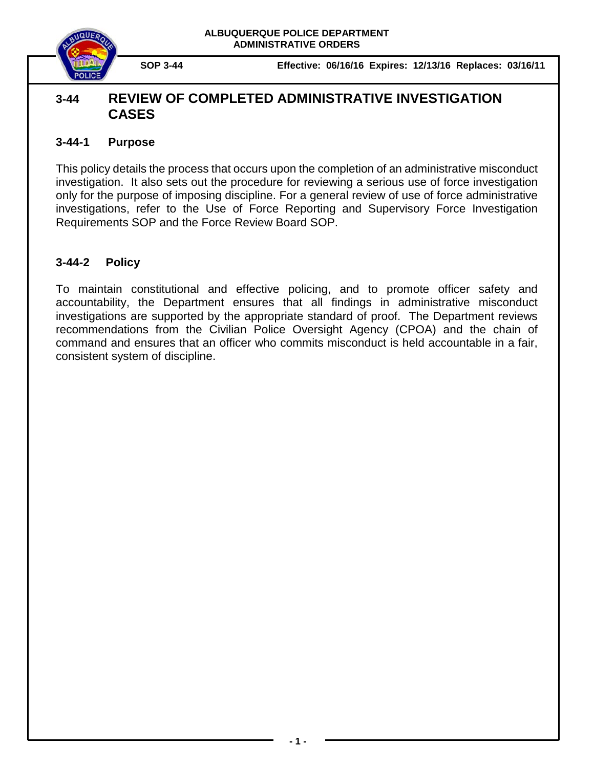



**SOP 3-44 Effective: 06/16/16 Expires: 12/13/16 Replaces: 03/16/11**

# **3-44 REVIEW OF COMPLETED ADMINISTRATIVE INVESTIGATION CASES**

### **3-44-1 Purpose**

This policy details the process that occurs upon the completion of an administrative misconduct investigation. It also sets out the procedure for reviewing a serious use of force investigation only for the purpose of imposing discipline. For a general review of use of force administrative investigations, refer to the Use of Force Reporting and Supervisory Force Investigation Requirements SOP and the Force Review Board SOP.

## **3-44-2 Policy**

To maintain constitutional and effective policing, and to promote officer safety and accountability, the Department ensures that all findings in administrative misconduct investigations are supported by the appropriate standard of proof. The Department reviews recommendations from the Civilian Police Oversight Agency (CPOA) and the chain of command and ensures that an officer who commits misconduct is held accountable in a fair, consistent system of discipline.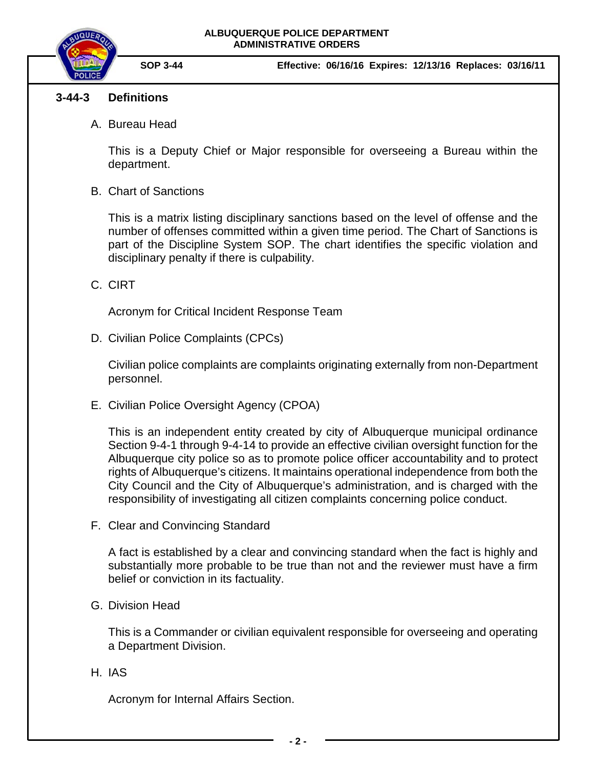#### **ALBUQUERQUE POLICE DEPARTMENT ADMINISTRATIVE ORDERS**



**SOP 3-44 Effective: 06/16/16 Expires: 12/13/16 Replaces: 03/16/11**

### **3-44-3 Definitions**

A. Bureau Head

This is a Deputy Chief or Major responsible for overseeing a Bureau within the department.

B. Chart of Sanctions

This is a matrix listing disciplinary sanctions based on the level of offense and the number of offenses committed within a given time period. The Chart of Sanctions is part of the Discipline System SOP. The chart identifies the specific violation and disciplinary penalty if there is culpability.

C. CIRT

Acronym for Critical Incident Response Team

D. Civilian Police Complaints (CPCs)

Civilian police complaints are complaints originating externally from non-Department personnel.

E. Civilian Police Oversight Agency (CPOA)

This is an independent entity created by city of Albuquerque municipal ordinance Section 9-4-1 through 9-4-14 to provide an effective civilian oversight function for the Albuquerque city police so as to promote police officer accountability and to protect rights of Albuquerque's citizens. It maintains operational independence from both the City Council and the City of Albuquerque's administration, and is charged with the responsibility of investigating all citizen complaints concerning police conduct.

F. Clear and Convincing Standard

A fact is established by a clear and convincing standard when the fact is highly and substantially more probable to be true than not and the reviewer must have a firm belief or conviction in its factuality.

G. Division Head

This is a Commander or civilian equivalent responsible for overseeing and operating a Department Division.

H. IAS

Acronym for Internal Affairs Section.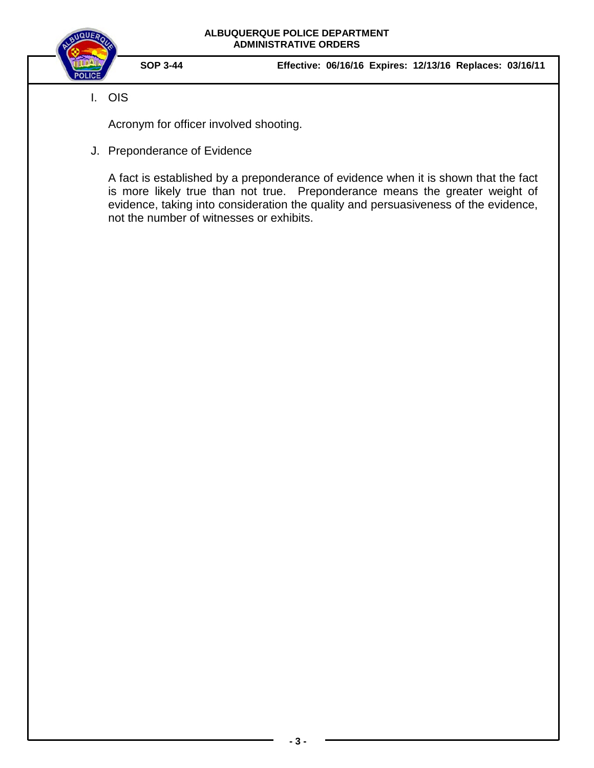

I. OIS

**SOP 3-44 Effective: 06/16/16 Expires: 12/13/16 Replaces: 03/16/11**

- Acronym for officer involved shooting.
- J. Preponderance of Evidence

A fact is established by a preponderance of evidence when it is shown that the fact is more likely true than not true. Preponderance means the greater weight of evidence, taking into consideration the quality and persuasiveness of the evidence, not the number of witnesses or exhibits.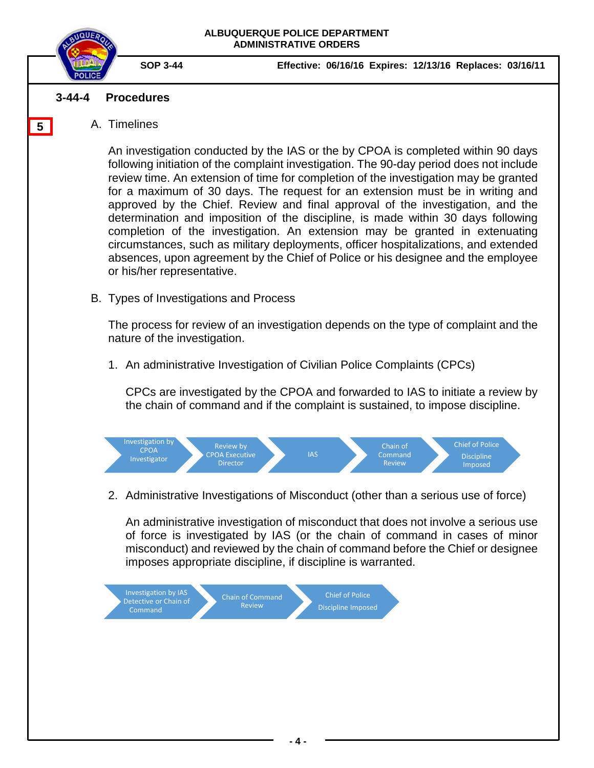

**5**

- 
- **SOP 3-44 Effective: 06/16/16 Expires: 12/13/16 Replaces: 03/16/11**

### **3-44-4 Procedures**

A. Timelines

An investigation conducted by the IAS or the by CPOA is completed within 90 days following initiation of the complaint investigation. The 90-day period does not include review time. An extension of time for completion of the investigation may be granted for a maximum of 30 days. The request for an extension must be in writing and approved by the Chief. Review and final approval of the investigation, and the determination and imposition of the discipline, is made within 30 days following completion of the investigation. An extension may be granted in extenuating circumstances, such as military deployments, officer hospitalizations, and extended absences, upon agreement by the Chief of Police or his designee and the employee or his/her representative.

B. Types of Investigations and Process

The process for review of an investigation depends on the type of complaint and the nature of the investigation.

1. An administrative Investigation of Civilian Police Complaints (CPCs)

CPCs are investigated by the CPOA and forwarded to IAS to initiate a review by the chain of command and if the complaint is sustained, to impose discipline.



2. Administrative Investigations of Misconduct (other than a serious use of force)

An administrative investigation of misconduct that does not involve a serious use of force is investigated by IAS (or the chain of command in cases of minor misconduct) and reviewed by the chain of command before the Chief or designee imposes appropriate discipline, if discipline is warranted.

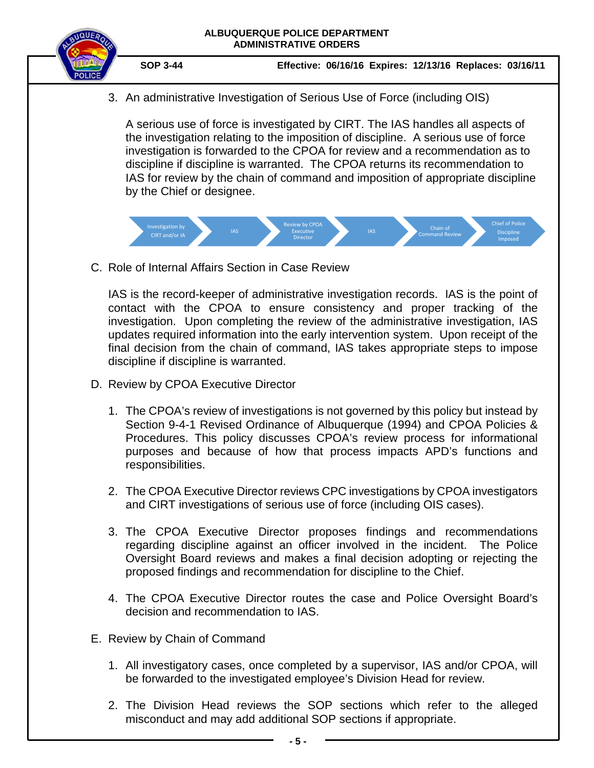

**SOP 3-44 Effective: 06/16/16 Expires: 12/13/16 Replaces: 03/16/11**

3. An administrative Investigation of Serious Use of Force (including OIS)

A serious use of force is investigated by CIRT. The IAS handles all aspects of the investigation relating to the imposition of discipline. A serious use of force investigation is forwarded to the CPOA for review and a recommendation as to discipline if discipline is warranted. The CPOA returns its recommendation to IAS for review by the chain of command and imposition of appropriate discipline by the Chief or designee.



C. Role of Internal Affairs Section in Case Review

IAS is the record-keeper of administrative investigation records. IAS is the point of contact with the CPOA to ensure consistency and proper tracking of the investigation. Upon completing the review of the administrative investigation, IAS updates required information into the early intervention system. Upon receipt of the final decision from the chain of command, IAS takes appropriate steps to impose discipline if discipline is warranted.

- D. Review by CPOA Executive Director
	- 1. The CPOA's review of investigations is not governed by this policy but instead by Section 9-4-1 Revised Ordinance of Albuquerque (1994) and CPOA Policies & Procedures. This policy discusses CPOA's review process for informational purposes and because of how that process impacts APD's functions and responsibilities.
	- 2. The CPOA Executive Director reviews CPC investigations by CPOA investigators and CIRT investigations of serious use of force (including OIS cases).
	- 3. The CPOA Executive Director proposes findings and recommendations regarding discipline against an officer involved in the incident. The Police Oversight Board reviews and makes a final decision adopting or rejecting the proposed findings and recommendation for discipline to the Chief.
	- 4. The CPOA Executive Director routes the case and Police Oversight Board's decision and recommendation to IAS.
- E. Review by Chain of Command
	- 1. All investigatory cases, once completed by a supervisor, IAS and/or CPOA, will be forwarded to the investigated employee's Division Head for review.
	- 2. The Division Head reviews the SOP sections which refer to the alleged misconduct and may add additional SOP sections if appropriate.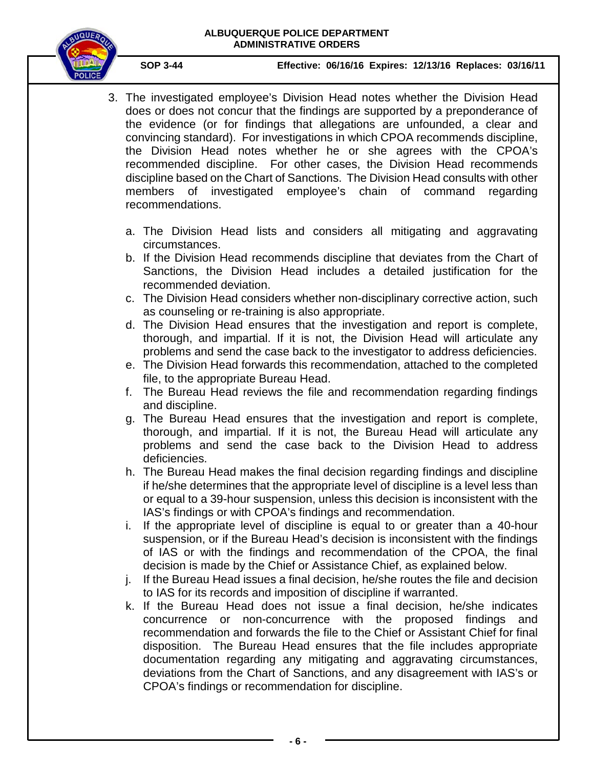### **ALBUQUERQUE POLICE DEPARTMENT ADMINISTRATIVE ORDERS**



**SOP 3-44 Effective: 06/16/16 Expires: 12/13/16 Replaces: 03/16/11**

- 3. The investigated employee's Division Head notes whether the Division Head does or does not concur that the findings are supported by a preponderance of the evidence (or for findings that allegations are unfounded, a clear and convincing standard). For investigations in which CPOA recommends discipline, the Division Head notes whether he or she agrees with the CPOA's recommended discipline. For other cases, the Division Head recommends discipline based on the Chart of Sanctions. The Division Head consults with other members of investigated employee's chain of command regarding recommendations.
	- a. The Division Head lists and considers all mitigating and aggravating circumstances.
	- b. If the Division Head recommends discipline that deviates from the Chart of Sanctions, the Division Head includes a detailed justification for the recommended deviation.
	- c. The Division Head considers whether non-disciplinary corrective action, such as counseling or re-training is also appropriate.
	- d. The Division Head ensures that the investigation and report is complete, thorough, and impartial. If it is not, the Division Head will articulate any problems and send the case back to the investigator to address deficiencies.
	- e. The Division Head forwards this recommendation, attached to the completed file, to the appropriate Bureau Head.
	- f. The Bureau Head reviews the file and recommendation regarding findings and discipline.
	- g. The Bureau Head ensures that the investigation and report is complete, thorough, and impartial. If it is not, the Bureau Head will articulate any problems and send the case back to the Division Head to address deficiencies.
	- h. The Bureau Head makes the final decision regarding findings and discipline if he/she determines that the appropriate level of discipline is a level less than or equal to a 39-hour suspension, unless this decision is inconsistent with the IAS's findings or with CPOA's findings and recommendation.
	- i. If the appropriate level of discipline is equal to or greater than a 40-hour suspension, or if the Bureau Head's decision is inconsistent with the findings of IAS or with the findings and recommendation of the CPOA, the final decision is made by the Chief or Assistance Chief, as explained below.
	- j. If the Bureau Head issues a final decision, he/she routes the file and decision to IAS for its records and imposition of discipline if warranted.
	- k. If the Bureau Head does not issue a final decision, he/she indicates concurrence or non-concurrence with the proposed findings and recommendation and forwards the file to the Chief or Assistant Chief for final disposition. The Bureau Head ensures that the file includes appropriate documentation regarding any mitigating and aggravating circumstances, deviations from the Chart of Sanctions, and any disagreement with IAS's or CPOA's findings or recommendation for discipline.